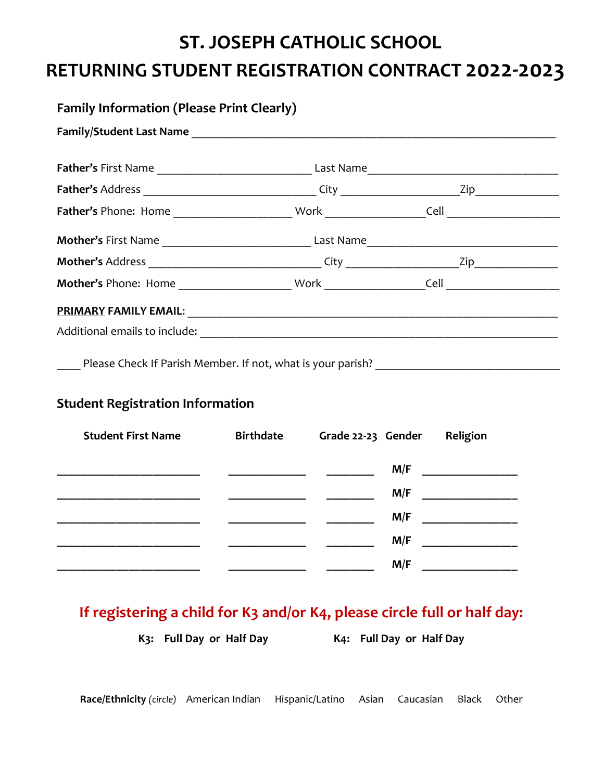# **ST. JOSEPH CATHOLIC SCHOOL RETURNING STUDENT REGISTRATION CONTRACT 2022-2023**

| <b>Family Information (Please Print Clearly)</b>                                                                     |  |  |
|----------------------------------------------------------------------------------------------------------------------|--|--|
|                                                                                                                      |  |  |
|                                                                                                                      |  |  |
|                                                                                                                      |  |  |
|                                                                                                                      |  |  |
|                                                                                                                      |  |  |
|                                                                                                                      |  |  |
| <b>Mother's Phone: Home Same School School School School School School School School School School School School</b> |  |  |
|                                                                                                                      |  |  |
|                                                                                                                      |  |  |

\_\_\_\_ Please Check If Parish Member. If not, what is your parish? \_\_\_\_\_\_\_\_\_\_\_\_\_\_\_\_\_\_\_\_\_\_

### **Student Registration Information**

| <b>Student First Name</b> | <b>Birthdate</b> | Grade 22-23 Gender | Religion |
|---------------------------|------------------|--------------------|----------|
|                           |                  | M/F                |          |
|                           |                  | M/F                |          |
|                           |                  | M/F                |          |
|                           |                  | M/F                |          |
|                           |                  | M/F                |          |

## **If registering a child for K3 and/or K4, please circle full or half day:**

**K3: Full Day or Half Day K4: Full Day or Half Day**

**Race/Ethnicity** *(circle)*American Indian Hispanic/Latino Asian Caucasian Black Other